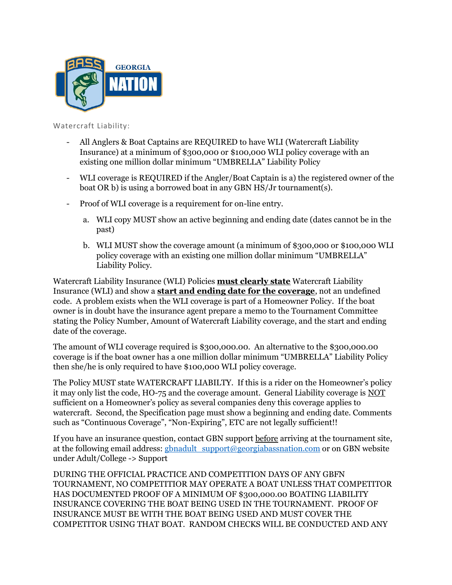

Watercraft Liability:

- All Anglers & Boat Captains are REQUIRED to have WLI (Watercraft Liability Insurance) at a minimum of \$300,000 or \$100,000 WLI policy coverage with an existing one million dollar minimum "UMBRELLA" Liability Policy
- WLI coverage is REQUIRED if the Angler/Boat Captain is a) the registered owner of the boat OR b) is using a borrowed boat in any GBN HS/Jr tournament(s).
- Proof of WLI coverage is a requirement for on-line entry.
	- a. WLI copy MUST show an active beginning and ending date (dates cannot be in the past)
	- b. WLI MUST show the coverage amount (a minimum of \$300,000 or \$100,000 WLI policy coverage with an existing one million dollar minimum "UMBRELLA" Liability Policy.

Watercraft Liability Insurance (WLI) Policies **must clearly state** Watercraft Liability Insurance (WLI) and show a **start and ending date for the coverage**, not an undefined code. A problem exists when the WLI coverage is part of a Homeowner Policy. If the boat owner is in doubt have the insurance agent prepare a memo to the Tournament Committee stating the Policy Number, Amount of Watercraft Liability coverage, and the start and ending date of the coverage.

The amount of WLI coverage required is \$300,000.00. An alternative to the \$300,000.00 coverage is if the boat owner has a one million dollar minimum "UMBRELLA" Liability Policy then she/he is only required to have \$100,000 WLI policy coverage.

The Policy MUST state WATERCRAFT LIABILTY. If this is a rider on the Homeowner's policy it may only list the code, HO-75 and the coverage amount. General Liability coverage is NOT sufficient on a Homeowner's policy as several companies deny this coverage applies to watercraft. Second, the Specification page must show a beginning and ending date. Comments such as "Continuous Coverage", "Non-Expiring", ETC are not legally sufficient!!

If you have an insurance question, contact GBN support before arriving at the tournament site, at the following email address: [gbnadult\\_support@georgiabassnation.com](mailto:gbnadult_support@georgiabassnation.com) or on GBN website under Adult/College -> Support

DURING THE OFFICIAL PRACTICE AND COMPETITION DAYS OF ANY GBFN TOURNAMENT, NO COMPETITIOR MAY OPERATE A BOAT UNLESS THAT COMPETITOR HAS DOCUMENTED PROOF OF A MINIMUM OF \$300,000.00 BOATING LIABILITY INSURANCE COVERING THE BOAT BEING USED IN THE TOURNAMENT. PROOF OF INSURANCE MUST BE WITH THE BOAT BEING USED AND MUST COVER THE COMPETITOR USING THAT BOAT. RANDOM CHECKS WILL BE CONDUCTED AND ANY